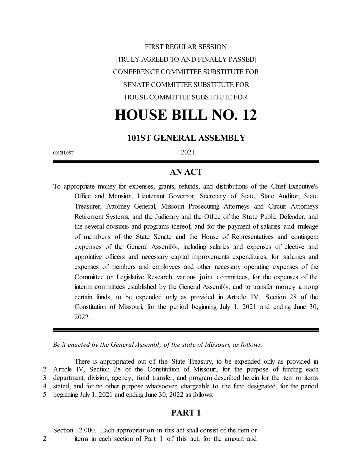FIRST REGULAR SESSION [TRULY AGREED TO AND FINALLY PASSED] CONFERENCE COMMITTEE SUBSTITUTE FOR SENATE COMMITTEE SUBSTITUTE FOR HOUSE COMMITTEE SUBSTITUTE FOR

# **HOUSE BILL NO. 12**

## **101ST GENERAL ASSEMBLY**

0012H.05T 2021

## **AN ACT**

To appropriate money for expenses, grants, refunds, and distributions of the Chief Executive's Office and Mansion, Lieutenant Governor, Secretary of State, State Auditor, State Treasurer, Attorney General, Missouri Prosecuting Attorneys and Circuit Attorneys Retirement Systems, and the Judiciary and the Office of the State Public Defender, and the several divisions and programs thereof, and for the payment of salaries and mileage of members of the State Senate and the House of Representatives and contingent expenses of the General Assembly, including salaries and expenses of elective and appointive officers and necessary capital improvements expenditures; for salaries and expenses of members and employees and other necessary operating expenses of the Committee on Legislative Research, various joint committees, for the expenses of the interim committees established by the General Assembly, and to transfer money among certain funds, to be expended only as provided in Article IV, Section 28 of the Constitution of Missouri, for the period beginning July 1, 2021 and ending June 30, 2022.

*Be it enacted by the General Assembly of the state of Missouri, as follows:*

There is appropriated out of the State Treasury, to be expended only as provided in Article IV, Section 28 of the Constitution of Missouri, for the purpose of funding each department, division, agency, fund transfer, and program described herein for the item or items stated, and for no other purpose whatsoever, chargeable to the fund designated, for the period beginning July 1, 2021 and ending June 30, 2022 as follows:

## **PART 1**

Section 12.000. Each appropriation in this act shall consist of the item or 2 items in each section of Part 1 of this act, for the amount and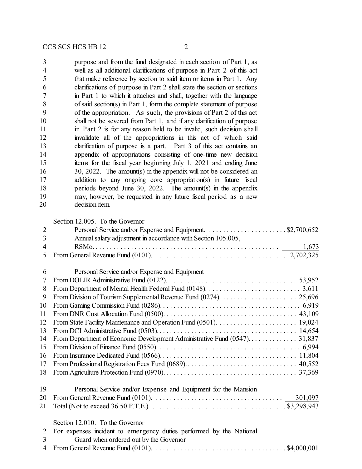| 3                | purpose and from the fund designated in each section of Part 1, as      |
|------------------|-------------------------------------------------------------------------|
| 4                | well as all additional clarifications of purpose in Part 2 of this act  |
| 5                | that make reference by section to said item or items in Part 1. Any     |
| 6                | clarifications of purpose in Part 2 shall state the section or sections |
| $\boldsymbol{7}$ | in Part 1 to which it attaches and shall, together with the language    |
| 8                | of said section(s) in Part 1, form the complete statement of purpose    |
| 9                | of the appropriation. As such, the provisions of Part 2 of this act     |
| 10               | shall not be severed from Part 1, and if any clarification of purpose   |
| 11               | in Part 2 is for any reason held to be invalid, such decision shall     |
| 12               | invalidate all of the appropriations in this act of which said          |
| 13               | clarification of purpose is a part. Part 3 of this act contains an      |
| 14               | appendix of appropriations consisting of one-time new decision          |
| 15               | items for the fiscal year beginning July 1, 2021 and ending June        |
| 16               | 30, 2022. The amount(s) in the appendix will not be considered an       |
| 17               | addition to any ongoing core appropriation(s) in future fiscal          |
| 18               | periods beyond June 30, 2022. The amount(s) in the appendix             |
| 19               | may, however, be requested in any future fiscal period as a new         |
| 20               | decision item.                                                          |
|                  | Section 12.005. To the Governor                                         |
| $\overline{c}$   |                                                                         |
| $\overline{3}$   | Annual salary adjustment in accordance with Section 105.005,            |
| $\overline{4}$   | 1,673                                                                   |
| 5                |                                                                         |
|                  |                                                                         |
| 6                | Personal Service and/or Expense and Equipment                           |
| 7                |                                                                         |
| 8                |                                                                         |
| 9                |                                                                         |
| 10               |                                                                         |
| 11               |                                                                         |
|                  |                                                                         |
| 13               |                                                                         |
| 14               |                                                                         |
| 15               |                                                                         |
| 16               |                                                                         |
| 17               |                                                                         |
| 18               |                                                                         |
| 19               | Personal Service and/or Expense and Equipment for the Mansion           |
| 20               |                                                                         |
|                  |                                                                         |
| 21               |                                                                         |
|                  | Section 12.010. To the Governor                                         |
| $\overline{2}$   | For expenses incident to emergency duties performed by the National     |
| 3                | Guard when ordered out by the Governor                                  |
| $\overline{4}$   |                                                                         |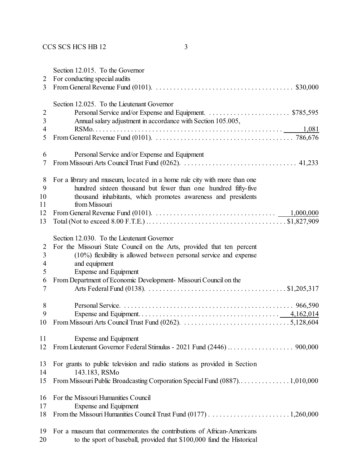| 2                                         | Section 12.015. To the Governor<br>For conducting special audits                                                                 |
|-------------------------------------------|----------------------------------------------------------------------------------------------------------------------------------|
| 3                                         | From General Revenue Fund (0101). $\ldots \ldots \ldots \ldots \ldots \ldots \ldots \ldots \ldots \ldots \ldots \ldots$ \$30,000 |
|                                           | Section 12.025. To the Lieutenant Governor                                                                                       |
| $\overline{2}$<br>$\overline{\mathbf{3}}$ | Annual salary adjustment in accordance with Section 105.005,                                                                     |
| $\overline{\mathcal{A}}$                  | 1,081                                                                                                                            |
| 5                                         |                                                                                                                                  |
| 6                                         | Personal Service and/or Expense and Equipment                                                                                    |
| 7                                         |                                                                                                                                  |
| 8                                         | For a library and museum, located in a home rule city with more than one                                                         |
| 9                                         | hundred sixteen thousand but fewer than one hundred fifty-five                                                                   |
| 10<br>11                                  | thousand inhabitants, which promotes awareness and presidents<br>from Missouri                                                   |
| 12                                        |                                                                                                                                  |
| 13                                        |                                                                                                                                  |
|                                           | Section 12.030. To the Lieutenant Governor                                                                                       |
| $\overline{2}$                            | For the Missouri State Council on the Arts, provided that ten percent                                                            |
| 3                                         | $(10\%)$ flexibility is allowed between personal service and expense                                                             |
| 4                                         | and equipment                                                                                                                    |
| 5                                         | <b>Expense and Equipment</b>                                                                                                     |
| 6                                         | From Department of Economic Development-Missouri Council on the                                                                  |
| 7                                         |                                                                                                                                  |
| 8                                         |                                                                                                                                  |
| 9                                         |                                                                                                                                  |
| 10                                        |                                                                                                                                  |
| 11                                        | <b>Expense and Equipment</b>                                                                                                     |
| 12                                        |                                                                                                                                  |
| 13                                        | For grants to public television and radio stations as provided in Section                                                        |
| 14                                        | 143.183, RSMo                                                                                                                    |
| 15                                        |                                                                                                                                  |
| 16                                        | For the Missouri Humanities Council                                                                                              |
| 17                                        | <b>Expense and Equipment</b>                                                                                                     |
| 18                                        |                                                                                                                                  |
| 19                                        | For a museum that commemorates the contributions of African-Americans                                                            |
| 20                                        | to the sport of baseball, provided that \$100,000 fund the Historical                                                            |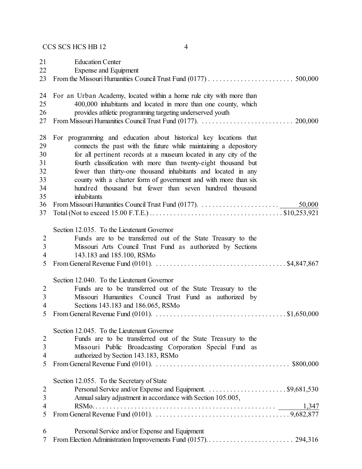Education Center Expense and Equipment From the Missouri Humanities Council Trust Fund (0177) . . . . . . . . . . . . . . . . . . . . . . . . 500,000 For an Urban Academy, located within a home rule city with more than 400,000 inhabitants and located in more than one county, which provides athletic programming targeting underserved youth From Missouri Humanities Council Trust Fund (0177). . . . . . . . . . . . . . . . . . . . . . . . . . . 200,000 For programming and education about historical key locations that connects the past with the future while maintaining a depository for all pertinent records at a museum located in any city of the fourth classification with more than twenty-eight thousand but fewer than thirty-one thousand inhabitants and located in any county with a charter form of government and with more than six hundred thousand but fewer than seven hundred thousand inhabitants From Missouri Humanities Council Trust Fund (0177). . . . . . . . . . . . . . . . . . . . . . . 50,000 Total (Not to exceed 15.00 F.T.E.) .. . . . . . . . . . . . . . . . . . . . . . . . . . . . . . . . . . . . . \$10,253,921 Section 12.035. To the Lieutenant Governor Funds are to be transferred out of the State Treasury to the Missouri Arts Council Trust Fund as authorized by Sections 143.183 and 185.100, RSMo From General Revenue Fund (0101). . . . . . . . . . . . . . . . . . . . . . . . . . . . . . . . . . . . . . \$4,847,867 Section 12.040. To the Lieutenant Governor Funds are to be transferred out of the State Treasury to the Missouri Humanities Council Trust Fund as authorized by Sections 143.183 and 186.065, RSMo From General Revenue Fund (0101). . . . . . . . . . . . . . . . . . . . . . . . . . . . . . . . . . . . . . \$1,650,000 Section 12.045. To the Lieutenant Governor Funds are to be transferred out of the State Treasury to the Missouri Public Broadcasting Corporation Special Fund as authorized by Section 143.183, RSMo From General Revenue Fund (0101). . . . . . . . . . . . . . . . . . . . . . . . . . . . . . . . . . . . . . . \$800,000 Section 12.055. To the Secretary of State Personal Service and/or Expense and Equipment. . . . . . . . . . . . . . . . . . . . . . . \$9,681,530 Annual salary adjustment in accordance with Section 105.005, RSMo. . . . . . . . . . . . . . . . . . . . . . . . . . . . . . . . . . . . . . . . . . . . . . . . . . . . 1,347 From General Revenue Fund (0101). . . . . . . . . . . . . . . . . . . . . . . . . . . . . . . . . . . . . . . 9,682,877 Personal Service and/or Expense and Equipment From Election Administration Improvements Fund (0157). . . . . . . . . . . . . . . . . . . . . . . . . 294,316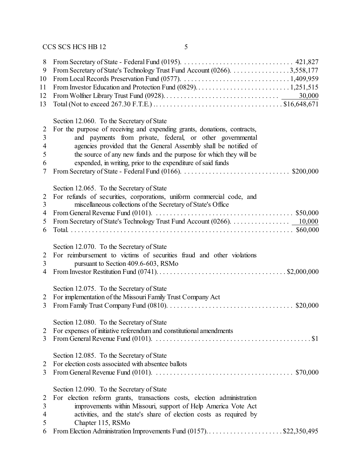| 8<br>9<br>10<br>11<br>12<br>13          | From Secretary of State's Technology Trust Fund Account (0266). 3,558,177                                                                                                                                                                                                                                                                                                                               |
|-----------------------------------------|---------------------------------------------------------------------------------------------------------------------------------------------------------------------------------------------------------------------------------------------------------------------------------------------------------------------------------------------------------------------------------------------------------|
| $\overline{2}$<br>3<br>4<br>5<br>6<br>7 | Section 12.060. To the Secretary of State<br>For the purpose of receiving and expending grants, donations, contracts,<br>and payments from private, federal, or other governmental<br>agencies provided that the General Assembly shall be notified of<br>the source of any new funds and the purpose for which they will be<br>expended, in writing, prior to the expenditure of said funds            |
| 2<br>3<br>$\overline{4}$<br>5<br>6      | Section 12.065. To the Secretary of State<br>For refunds of securities, corporations, uniform commercial code, and<br>miscellaneous collections of the Secretary of State's Office<br>From General Revenue Fund (0101). $\ldots \ldots \ldots \ldots \ldots \ldots \ldots \ldots \ldots \ldots \ldots \ldots \ldots$ \$50,000<br>From Secretary of State's Technology Trust Fund Account (0266). 10,000 |
| $\overline{2}$<br>3<br>$\overline{4}$   | Section 12.070. To the Secretary of State<br>For reimbursement to victims of securities fraud and other violations<br>pursuant to Section 409.6-603, RSMo                                                                                                                                                                                                                                               |
| 2<br>3                                  | Section 12.075. To the Secretary of State<br>For implementation of the Missouri Family Trust Company Act                                                                                                                                                                                                                                                                                                |
| 2<br>3                                  | Section 12.080. To the Secretary of State<br>For expenses of initiative referendum and constitutional amendments                                                                                                                                                                                                                                                                                        |
| 2<br>3                                  | Section 12.085. To the Secretary of State<br>For election costs associated with absentee ballots                                                                                                                                                                                                                                                                                                        |
| 2<br>3<br>4<br>5<br>6                   | Section 12.090. To the Secretary of State<br>For election reform grants, transactions costs, election administration<br>improvements within Missouri, support of Help America Vote Act<br>activities, and the state's share of election costs as required by<br>Chapter 115, RSMo<br>From Election Administration Improvements Fund (0157)\$22,350,495                                                  |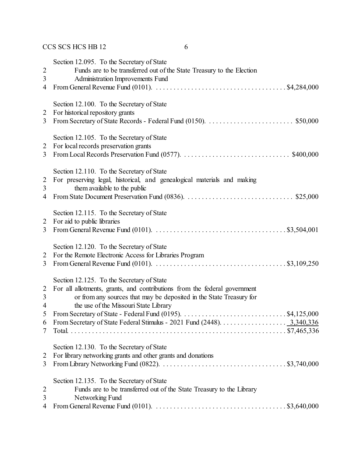| $\overline{2}$<br>$\mathfrak{Z}$<br>4                | Section 12.095. To the Secretary of State<br>Funds are to be transferred out of the State Treasury to the Election<br>Administration Improvements Fund<br>From General Revenue Fund (0101). $\ldots \ldots \ldots \ldots \ldots \ldots \ldots \ldots \ldots \ldots$ \$4,284,000                                     |
|------------------------------------------------------|---------------------------------------------------------------------------------------------------------------------------------------------------------------------------------------------------------------------------------------------------------------------------------------------------------------------|
| 2<br>3                                               | Section 12.100. To the Secretary of State<br>For historical repository grants                                                                                                                                                                                                                                       |
| $\overline{2}$<br>3                                  | Section 12.105. To the Secretary of State<br>For local records preservation grants                                                                                                                                                                                                                                  |
| $\overline{c}$<br>3<br>4                             | Section 12.110. To the Secretary of State<br>For preserving legal, historical, and genealogical materials and making<br>them available to the public                                                                                                                                                                |
| 2<br>3                                               | Section 12.115. To the Secretary of State<br>For aid to public libraries                                                                                                                                                                                                                                            |
| 2<br>3                                               | Section 12.120. To the Secretary of State<br>For the Remote Electronic Access for Libraries Program<br>From General Revenue Fund (0101). $\ldots \ldots \ldots \ldots \ldots \ldots \ldots \ldots \ldots \ldots \ldots$ \$3,109,250                                                                                 |
| $\overline{2}$<br>3<br>$\overline{4}$<br>5<br>6<br>7 | Section 12.125. To the Secretary of State<br>For all allotments, grants, and contributions from the federal government<br>or from any sources that may be deposited in the State Treasury for<br>the use of the Missouri State Library<br>From Secretary of State Federal Stimulus - 2021 Fund (2448).<br>3,340,336 |
| $\overline{2}$<br>3                                  | Section 12.130. To the Secretary of State<br>For library networking grants and other grants and donations                                                                                                                                                                                                           |
| $\overline{2}$<br>3<br>4                             | Section 12.135. To the Secretary of State<br>Funds are to be transferred out of the State Treasury to the Library<br>Networking Fund<br>From General Revenue Fund (0101). $\ldots \ldots \ldots \ldots \ldots \ldots \ldots \ldots \ldots \ldots \ldots \ldots$ \$3,640,000                                         |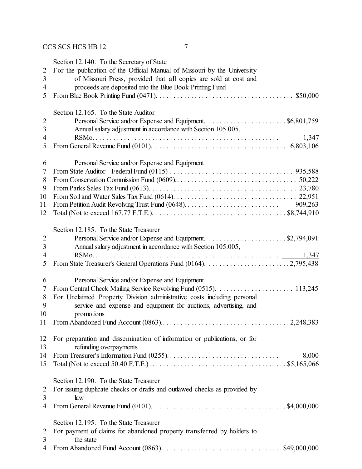|                          | Section 12.140. To the Secretary of State                                                                                    |
|--------------------------|------------------------------------------------------------------------------------------------------------------------------|
| $\overline{2}$           | For the publication of the Official Manual of Missouri by the University                                                     |
| 3                        | of Missouri Press, provided that all copies are sold at cost and                                                             |
| 4                        | proceeds are deposited into the Blue Book Printing Fund                                                                      |
| 5                        |                                                                                                                              |
|                          |                                                                                                                              |
|                          | Section 12.165. To the State Auditor                                                                                         |
| $\boldsymbol{2}$         |                                                                                                                              |
| 3                        | Annual salary adjustment in accordance with Section 105.005,                                                                 |
| $\overline{4}$<br>5      |                                                                                                                              |
|                          |                                                                                                                              |
| 6                        | Personal Service and/or Expense and Equipment                                                                                |
| 7                        |                                                                                                                              |
| 8                        |                                                                                                                              |
| 9                        |                                                                                                                              |
| 10                       |                                                                                                                              |
| 11                       |                                                                                                                              |
| 12                       |                                                                                                                              |
|                          | Section 12.185. To the State Treasurer                                                                                       |
| $\overline{2}$           |                                                                                                                              |
| 3                        | Annual salary adjustment in accordance with Section 105.005,                                                                 |
| $\overline{\mathcal{A}}$ | 1,347                                                                                                                        |
| 5                        |                                                                                                                              |
|                          |                                                                                                                              |
| 6                        | Personal Service and/or Expense and Equipment                                                                                |
| 7<br>8                   | For Unclaimed Property Division administrative costs including personal                                                      |
| 9                        | service and expense and equipment for auctions, advertising, and                                                             |
| 10                       | promotions                                                                                                                   |
| 11                       |                                                                                                                              |
|                          |                                                                                                                              |
| 12                       | For preparation and dissemination of information or publications, or for                                                     |
| 13                       | refunding overpayments                                                                                                       |
| 14                       | 8,000                                                                                                                        |
| 15                       |                                                                                                                              |
|                          | Section 12.190. To the State Treasurer                                                                                       |
| 2                        | For issuing duplicate checks or drafts and outlawed checks as provided by                                                    |
| 3                        | law                                                                                                                          |
| 4                        | From General Revenue Fund (0101). $\ldots \ldots \ldots \ldots \ldots \ldots \ldots \ldots \ldots \ldots \ldots$ \$4,000,000 |
|                          |                                                                                                                              |
|                          | Section 12.195. To the State Treasurer                                                                                       |
| 2<br>3                   | For payment of claims for abandoned property transferred by holders to<br>the state                                          |
| 4                        |                                                                                                                              |
|                          |                                                                                                                              |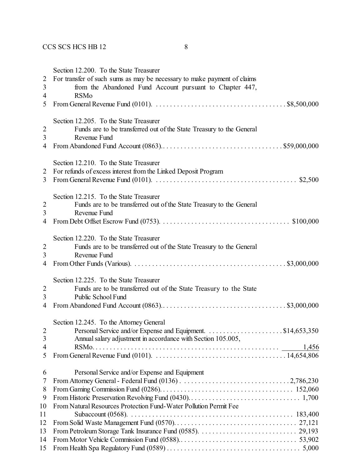|                          | Section 12.200. To the State Treasurer                                                                                             |
|--------------------------|------------------------------------------------------------------------------------------------------------------------------------|
| 2                        | For transfer of such sums as may be necessary to make payment of claims                                                            |
| 3                        | from the Abandoned Fund Account pursuant to Chapter 447,                                                                           |
| $\overline{4}$           | <b>RSMo</b>                                                                                                                        |
| 5                        | From General Revenue Fund (0101). $\ldots \ldots \ldots \ldots \ldots \ldots \ldots \ldots \ldots \ldots \ldots$ \$8,500,000       |
|                          |                                                                                                                                    |
|                          | Section 12.205. To the State Treasurer                                                                                             |
| $\overline{c}$           | Funds are to be transferred out of the State Treasury to the General                                                               |
| 3                        | Revenue Fund                                                                                                                       |
|                          |                                                                                                                                    |
| 4                        |                                                                                                                                    |
|                          |                                                                                                                                    |
|                          | Section 12.210. To the State Treasurer                                                                                             |
| 2                        | For refunds of excess interest from the Linked Deposit Program                                                                     |
| 3                        | From General Revenue Fund (0101). $\ldots \ldots \ldots \ldots \ldots \ldots \ldots \ldots \ldots \ldots \ldots$ \$2,500           |
|                          |                                                                                                                                    |
|                          | Section 12.215. To the State Treasurer                                                                                             |
| 2                        | Funds are to be transferred out of the State Treasury to the General                                                               |
| 3                        | Revenue Fund                                                                                                                       |
| 4                        |                                                                                                                                    |
|                          |                                                                                                                                    |
|                          | Section 12.220. To the State Treasurer                                                                                             |
| 2                        | Funds are to be transferred out of the State Treasury to the General                                                               |
| $\overline{3}$           | Revenue Fund                                                                                                                       |
| 4                        |                                                                                                                                    |
|                          |                                                                                                                                    |
|                          | Section 12.225. To the State Treasurer                                                                                             |
| $\overline{2}$           | Funds are to be transferred out of the State Treasury to the State                                                                 |
| 3                        | Public School Fund                                                                                                                 |
| $\overline{\mathcal{A}}$ |                                                                                                                                    |
|                          | Section 12.245. To the Attorney General                                                                                            |
| $\overline{2}$           |                                                                                                                                    |
|                          |                                                                                                                                    |
| 3                        | Annual salary adjustment in accordance with Section 105.005,                                                                       |
| 4                        | 1,456                                                                                                                              |
| 5                        | From General Revenue Fund (0101). $\ldots \ldots \ldots \ldots \ldots \ldots \ldots \ldots \ldots \ldots \ldots \ldots 14,654,806$ |
| 6                        | Personal Service and/or Expense and Equipment                                                                                      |
|                          |                                                                                                                                    |
| 7                        |                                                                                                                                    |
| 8                        |                                                                                                                                    |
| 9                        |                                                                                                                                    |
| 10                       | From Natural Resources Protection Fund-Water Pollution Permit Fee                                                                  |
| 11                       |                                                                                                                                    |
| 12                       |                                                                                                                                    |
| 13                       |                                                                                                                                    |
| 14                       |                                                                                                                                    |
| 15                       |                                                                                                                                    |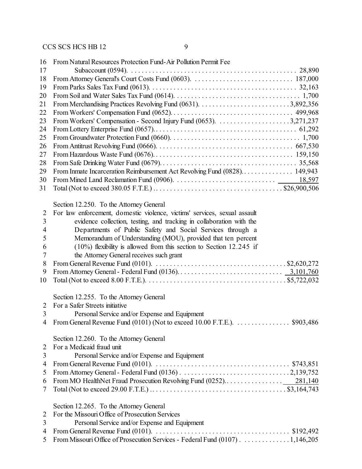| 16             | From Natural Resources Protection Fund-Air Pollution Permit Fee                                                              |
|----------------|------------------------------------------------------------------------------------------------------------------------------|
| 17             |                                                                                                                              |
| 18             |                                                                                                                              |
| 19             |                                                                                                                              |
| 20             |                                                                                                                              |
| 21             |                                                                                                                              |
| 22             |                                                                                                                              |
| 23             |                                                                                                                              |
| 24             |                                                                                                                              |
| 25             |                                                                                                                              |
| 26             |                                                                                                                              |
| 27             |                                                                                                                              |
| 28             |                                                                                                                              |
| 29             | From Inmate Incarceration Reimbursement Act Revolving Fund (0828) 149,943                                                    |
| 30             |                                                                                                                              |
| 31             |                                                                                                                              |
|                |                                                                                                                              |
|                | Section 12.250. To the Attorney General                                                                                      |
| $\overline{2}$ | For law enforcement, domestic violence, victims' services, sexual assault                                                    |
| 3              | evidence collection, testing, and tracking in collaboration with the                                                         |
| $\overline{4}$ | Departments of Public Safety and Social Services through a                                                                   |
| 5              | Memorandum of Understanding (MOU), provided that ten percent                                                                 |
| 6              | $(10\%)$ flexibility is allowed from this section to Section 12.245 if                                                       |
| 7              | the Attorney General receives such grant                                                                                     |
| 8              | From General Revenue Fund (0101). $\ldots \ldots \ldots \ldots \ldots \ldots \ldots \ldots \ldots \ldots \ldots$ \$2,620,272 |
| 9              |                                                                                                                              |
| 10             |                                                                                                                              |
|                | Section 12.255. To the Attorney General                                                                                      |
| 2              | For a Safer Streets initiative                                                                                               |
| 3              | Personal Service and/or Expense and Equipment                                                                                |
| 4              | \$903,486<br>From General Revenue Fund (0101) (Not to exceed 10.00 F.T.E.).                                                  |
|                |                                                                                                                              |
|                | Section 12.260. To the Attorney General                                                                                      |
| 2              | For a Medicaid fraud unit                                                                                                    |
| $\mathfrak{Z}$ | Personal Service and/or Expense and Equipment                                                                                |
| $\overline{4}$ |                                                                                                                              |
| 5              |                                                                                                                              |
| 6              |                                                                                                                              |
| 7              |                                                                                                                              |
|                | Section 12.265. To the Attorney General                                                                                      |
| 2              | For the Missouri Office of Prosecution Services                                                                              |
| 3              | Personal Service and/or Expense and Equipment                                                                                |
| $\overline{4}$ | From General Revenue Fund (0101). $\ldots \ldots \ldots \ldots \ldots \ldots \ldots \ldots \ldots \ldots$ \$192,492          |
| 5              | From Missouri Office of Prosecution Services - Federal Fund (0107) 1,146,205                                                 |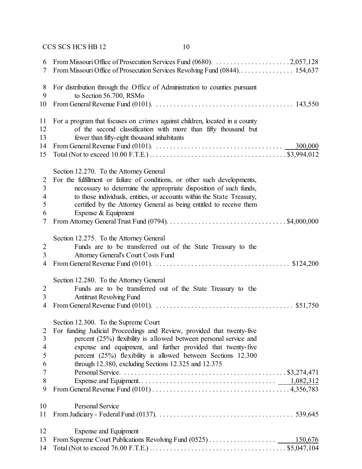| 6<br>7                                               |                                                                                                                                                                                                                                                                                                                                                                   |
|------------------------------------------------------|-------------------------------------------------------------------------------------------------------------------------------------------------------------------------------------------------------------------------------------------------------------------------------------------------------------------------------------------------------------------|
| 8<br>9                                               | For distribution through the Office of Administration to counties pursuant<br>to Section 56.700, RSMo                                                                                                                                                                                                                                                             |
| 10                                                   |                                                                                                                                                                                                                                                                                                                                                                   |
| 11<br>12<br>13<br>14                                 | For a program that focuses on crimes against children, located in a county<br>of the second classification with more than fifty thousand but<br>fewer than fifty-eight thousand inhabitants<br>From General Revenue Fund (0101). $\ldots \ldots \ldots \ldots \ldots \ldots \ldots \ldots \ldots \ldots$ 300,000                                                  |
| 15                                                   |                                                                                                                                                                                                                                                                                                                                                                   |
| $\overline{2}$<br>3<br>$\overline{4}$<br>5<br>6<br>7 | Section 12.270. To the Attorney General<br>For the fulfillment or failure of conditions, or other such developments,<br>necessary to determine the appropriate disposition of such funds,<br>to those individuals, entities, or accounts within the State Treasury,<br>certified by the Attorney General as being entitled to receive them<br>Expense & Equipment |
|                                                      | Section 12.275. To the Attorney General                                                                                                                                                                                                                                                                                                                           |
| $\overline{2}$                                       | Funds are to be transferred out of the State Treasury to the                                                                                                                                                                                                                                                                                                      |
| $\mathfrak{Z}$<br>$\overline{4}$                     | <b>Attorney General's Court Costs Fund</b>                                                                                                                                                                                                                                                                                                                        |
|                                                      | Section 12.280. To the Attorney General                                                                                                                                                                                                                                                                                                                           |
| 2                                                    | Funds are to be transferred out of the State Treasury to the                                                                                                                                                                                                                                                                                                      |
| 3                                                    | <b>Antitrust Revolving Fund</b>                                                                                                                                                                                                                                                                                                                                   |
| $\overline{4}$                                       |                                                                                                                                                                                                                                                                                                                                                                   |
|                                                      | Section 12.300. To the Supreme Court                                                                                                                                                                                                                                                                                                                              |
| $\overline{2}$                                       | For funding Judicial Proceedings and Review, provided that twenty-five                                                                                                                                                                                                                                                                                            |
| $\mathfrak{Z}$                                       | percent (25%) flexibility is allowed between personal service and                                                                                                                                                                                                                                                                                                 |
| $\overline{4}$                                       | expense and equipment, and further provided that twenty-five                                                                                                                                                                                                                                                                                                      |
| 5                                                    | percent (25%) flexibility is allowed between Sections 12.300                                                                                                                                                                                                                                                                                                      |
| 6                                                    | through 12.380, excluding Sections 12.325 and 12.375                                                                                                                                                                                                                                                                                                              |
| 7                                                    |                                                                                                                                                                                                                                                                                                                                                                   |
| 8<br>9                                               |                                                                                                                                                                                                                                                                                                                                                                   |
| 10                                                   | Personal Service                                                                                                                                                                                                                                                                                                                                                  |
| 11                                                   |                                                                                                                                                                                                                                                                                                                                                                   |
| 12                                                   | Expense and Equipment                                                                                                                                                                                                                                                                                                                                             |
| 13                                                   | 150,676                                                                                                                                                                                                                                                                                                                                                           |
| 14                                                   |                                                                                                                                                                                                                                                                                                                                                                   |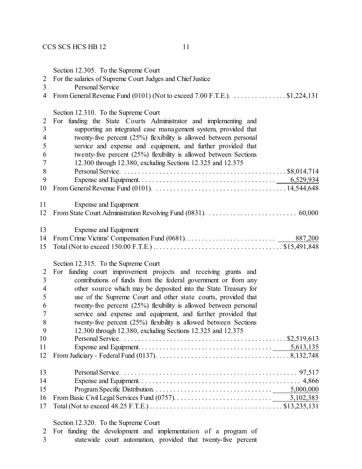Section 12.305. To the Supreme Court

- For the salaries of Supreme Court Judges and Chief Justice
- Personal Service
- 4 From General Revenue Fund (0101) (Not to exceed 7.00 F.T.E.).  $\dots$  . . . . . . . . . . \$1,224,131

Section 12.210. To the Supreme Court

|                | Section 12.310. To the Supreme Court                                |
|----------------|---------------------------------------------------------------------|
| $\overline{2}$ | For funding the State Courts Administrator and implementing and     |
| 3              | supporting an integrated case management system, provided that      |
| $\overline{4}$ | twenty-five percent $(25%)$ flexibility is allowed between personal |
| 5              | service and expense and equipment, and further provided that        |
| 6              | twenty-five percent (25%) flexibility is allowed between Sections   |
| 7              | 12.300 through 12.380, excluding Sections 12.325 and 12.375         |
| $8\,$          |                                                                     |
| 9              |                                                                     |
| 10             |                                                                     |
| 11             | Expense and Equipment                                               |
| 12             |                                                                     |
| 13             | Expense and Equipment                                               |
| 14             | 887,200                                                             |
| 15             |                                                                     |
|                | Section 12.315. To the Supreme Court                                |
| $\overline{2}$ | funding court improvement projects and receiving grants and<br>For  |
| 3              | contributions of funds from the federal government or from any      |
| $\overline{4}$ | other source which may be deposited into the State Treasury for     |
| 5              | use of the Supreme Court and other state courts, provided that      |
| 6              | twenty-five percent (25%) flexibility is allowed between personal   |
| 7              | service and expense and equipment, and further provided that        |
| 8              | twenty-five percent (25%) flexibility is allowed between Sections   |
| 9              | 12.300 through 12.380, excluding Sections 12.325 and 12.375         |
| 10             |                                                                     |
| 11             |                                                                     |
| 12             |                                                                     |
| 13             |                                                                     |
| 14             |                                                                     |
| 15             |                                                                     |
| 16             |                                                                     |
| 17             |                                                                     |

#### Section 12.320. To the Supreme Court

|   |  |  |  | 2 For funding the development and implementation of a program of |  |  |  |
|---|--|--|--|------------------------------------------------------------------|--|--|--|
| 3 |  |  |  | state wide court automation, provided that twenty-five percent   |  |  |  |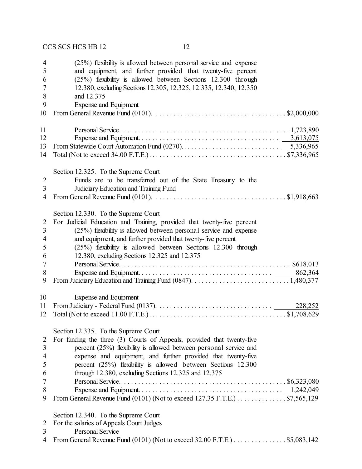| 4              | $(25%)$ flexibility is allowed between personal service and expense                                                          |
|----------------|------------------------------------------------------------------------------------------------------------------------------|
| 5              | and equipment, and further provided that twenty-five percent                                                                 |
| 6              | (25%) flexibility is allowed between Sections 12.300 through                                                                 |
| 7              | 12.380, excluding Sections 12.305, 12.325, 12.335, 12.340, 12.350                                                            |
| 8              | and 12.375                                                                                                                   |
| 9              | Expense and Equipment                                                                                                        |
| 10             | From General Revenue Fund (0101). $\ldots \ldots \ldots \ldots \ldots \ldots \ldots \ldots \ldots \ldots \ldots$ \$2,000,000 |
| 11             |                                                                                                                              |
| 12             |                                                                                                                              |
| 13             |                                                                                                                              |
| 14             |                                                                                                                              |
|                | Section 12.325. To the Supreme Court                                                                                         |
| $\overline{2}$ | Funds are to be transferred out of the State Treasury to the                                                                 |
| 3              | Judiciary Education and Training Fund                                                                                        |
| 4              | From General Revenue Fund (0101). $\ldots \ldots \ldots \ldots \ldots \ldots \ldots \ldots \ldots \ldots \ldots$ \$1,918,663 |
|                |                                                                                                                              |
|                | Section 12.330. To the Supreme Court                                                                                         |
| 2              | For Judicial Education and Training, provided that twenty-five percent                                                       |
| 3              | $(25%)$ flexibility is allowed between personal service and expense                                                          |
| 4              | and equipment, and further provided that twenty-five percent                                                                 |
| 5              | (25%) flexibility is allowed between Sections 12.300 through                                                                 |
| 6              | 12.380, excluding Sections 12.325 and 12.375                                                                                 |
| 7              |                                                                                                                              |
| 8              | 862,364                                                                                                                      |
| 9              |                                                                                                                              |
| 10             | Expense and Equipment                                                                                                        |
| 11             | 228,252                                                                                                                      |
| 12             |                                                                                                                              |
|                |                                                                                                                              |
|                | Section 12.335. To the Supreme Court                                                                                         |
| $\overline{2}$ | For funding the three (3) Courts of Appeals, provided that twenty-five                                                       |
| 3              | percent (25%) flexibility is allowed between personal service and                                                            |
| 4              | expense and equipment, and further provided that twenty-five                                                                 |
| 5              | percent (25%) flexibility is allowed between Sections 12.300                                                                 |
| 6              | through 12.380, excluding Sections 12.325 and 12.375                                                                         |
| 7              |                                                                                                                              |
| 8              |                                                                                                                              |
| 9              | From General Revenue Fund (0101) (Not to exceed 127.35 F.T.E.) \$7,565,129                                                   |
|                | Section 12.340. To the Supreme Court                                                                                         |
| 2              | For the salaries of Appeals Court Judges                                                                                     |
| 3              | <b>Personal Service</b>                                                                                                      |
| 4              | From General Revenue Fund (0101) (Not to exceed $32.00$ F.T.E.) \$5,083,142                                                  |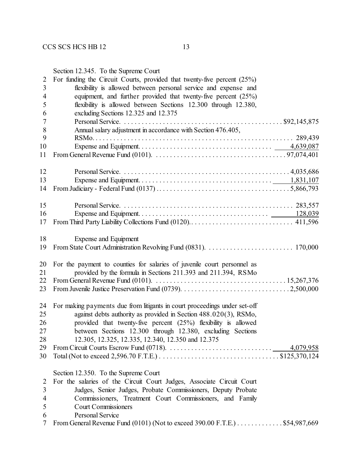Section 12.345. To the Supreme Court For funding the Circuit Courts, provided that twenty-five percent (25%) flexibility is allowed between personal service and expense and equipment, and further provided that twenty-five percent (25%) flexibility is allowed between Sections 12.300 through 12.380, excluding Sections 12.325 and 12.375 Personal Service. . . . . . . . . . . . . . . . . . . . . . . . . . . . . . . . . . . . . . . . . . . . . . \$92,145,875 Annual salary adjustment in accordance with Section 476.405, RSMo. . . . . . . . . . . . . . . . . . . . . . . . . . . . . . . . . . . . . . . . . . . . . . . . . . . . . . . . . 289,439 Expense and Equipment. . . . . . . . . . . . . . . . . . . . . . . . . . . . . . . . . . . . . . 4,639,087 From General Revenue Fund (0101). . . . . . . . . . . . . . . . . . . . . . . . . . . . . . . . . . . . . . 97,074,401 Personal Service. . . . . . . . . . . . . . . . . . . . . . . . . . . . . . . . . . . . . . . . . . . . . . . . 4,035,686 Expense and Equipment. . . . . . . . . . . . . . . . . . . . . . . . . . . . . . . . . . . . . . 1,831,107 From Judiciary - Federal Fund (0137) .. . . . . . . . . . . . . . . . . . . . . . . . . . . . . . . . . . . . . 5,866,793 Personal Service. . . . . . . . . . . . . . . . . . . . . . . . . . . . . . . . . . . . . . . . . . . . . . . . . 283,557 Expense and Equipment. . . . . . . . . . . . . . . . . . . . . . . . . . . . . . . . . . . . . 128,039 From Third Party Liability Collections Fund (0120).. . . . . . . . . . . . . . . . . . . . . . . . . . . . . 411,596 Expense and Equipment From State Court Administration Revolving Fund (0831). . . . . . . . . . . . . . . . . . . . . . . . . 170,000 For the payment to counties for salaries of juvenile court personnel as provided by the formula in Sections 211.393 and 211.394, RSMo From General Revenue Fund (0101). . . . . . . . . . . . . . . . . . . . . . . . . . . . . . . . . . . . . . 15,267,376 From Juvenile Justice Preservation Fund (0739). . . . . . . . . . . . . . . . . . . . . . . . . . . . . . . 2,500,000 For making payments due from litigants in court proceedings under set-off against debts authority as provided in Section 488.020(3), RSMo, provided that twenty-five percent (25%) flexibility is allowed between Sections 12.300 through 12.380, excluding Sections 12.305, 12.325, 12.335, 12.340, 12.350 and 12.375 From Circuit Courts Escrow Fund (0718). . . . . . . . . . . . . . . . . . . . . . . . . . . . . . 4,079,958 Total (Not to exceed 2,596.70 F.T.E.) . . . . . . . . . . . . . . . . . . . . . . . . . . . . . . . . . . \$125,370,124 Section 12.350. To the Supreme Court For the salaries of the Circuit Court Judges, Associate Circuit Court Judges, Senior Judges, Probate Commissioners, Deputy Probate Commissioners, Treatment Court Commissioners, and Family Court Commissioners Personal Service From General Revenue Fund (0101) (Not to exceed 390.00 F.T.E.) . . . . . . . . . . . . . \$54,987,669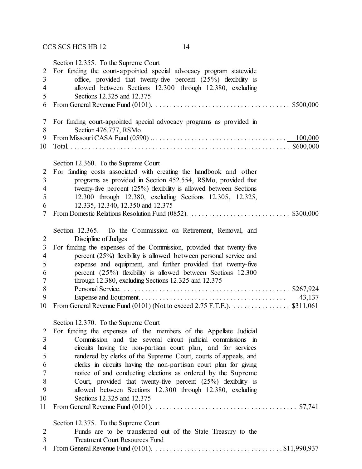|                | Section 12.355. To the Supreme Court                                                                                       |
|----------------|----------------------------------------------------------------------------------------------------------------------------|
| $\overline{2}$ | For funding the court-appointed special advocacy program statewide                                                         |
| $\overline{3}$ | office, provided that twenty-five percent (25%) flexibility is                                                             |
| 4              | allowed between Sections 12.300 through 12.380, excluding                                                                  |
| 5              | Sections 12.325 and 12.375                                                                                                 |
| 6              | From General Revenue Fund (0101). $\ldots \ldots \ldots \ldots \ldots \ldots \ldots \ldots \ldots \ldots \ldots$ \$500,000 |
|                |                                                                                                                            |
| 7              | For funding court-appointed special advocacy programs as provided in                                                       |
| 8              | Section 476.777, RSMo                                                                                                      |
| 9              |                                                                                                                            |
| 10             |                                                                                                                            |
|                |                                                                                                                            |
|                |                                                                                                                            |
|                | Section 12.360. To the Supreme Court                                                                                       |
| 2              | For funding costs associated with creating the handbook and other                                                          |
| 3              | programs as provided in Section 452.554, RSMo, provided that                                                               |
| $\overline{4}$ | twenty-five percent $(25%)$ flexibility is allowed between Sections                                                        |
| 5              | 12.300 through 12.380, excluding Sections 12.305, 12.325,                                                                  |
| 6              | 12.335, 12.340, 12.350 and 12.375                                                                                          |
| 7              |                                                                                                                            |
|                |                                                                                                                            |
|                | Section 12.365. To the Commission on Retirement, Removal, and                                                              |
| $\overline{2}$ | Discipline of Judges                                                                                                       |
| $\mathfrak{Z}$ | For funding the expenses of the Commission, provided that twenty-five                                                      |
| $\overline{4}$ | percent (25%) flexibility is allowed between personal service and                                                          |
| 5              | expense and equipment, and further provided that twenty-five                                                               |
| 6              | percent $(25%)$ flexibility is allowed between Sections 12.300                                                             |
| $\tau$         | through 12.380, excluding Sections 12.325 and 12.375                                                                       |
| $8\,$          |                                                                                                                            |
| 9              |                                                                                                                            |
| 10             | From General Revenue Fund (0101) (Not to exceed 2.75 F.T.E.). \$311,061                                                    |
|                |                                                                                                                            |
|                |                                                                                                                            |
|                | Section 12.370. To the Supreme Court                                                                                       |
| $\overline{2}$ | For funding the expenses of the members of the Appellate Judicial                                                          |
| 3              | Commission and the several circuit judicial commissions in                                                                 |
| $\overline{4}$ | circuits having the non-partisan court plan, and for services                                                              |
| 5              | rendered by clerks of the Supreme Court, courts of appeals, and                                                            |
| 6              | clerks in circuits having the non-partisan court plan for giving                                                           |
| 7              | notice of and conducting elections as ordered by the Supreme                                                               |
| 8              | Court, provided that twenty-five percent (25%) flexibility is                                                              |
| 9              | allowed between Sections 12.300 through 12.380, excluding                                                                  |
| 10             | Sections 12.325 and 12.375                                                                                                 |
| 11             |                                                                                                                            |
|                |                                                                                                                            |
|                | Section 12.375. To the Supreme Court                                                                                       |
| $\overline{2}$ | Funds are to be transferred out of the State Treasury to the                                                               |
| 3              | <b>Treatment Court Resources Fund</b>                                                                                      |
| $\overline{4}$ |                                                                                                                            |
|                |                                                                                                                            |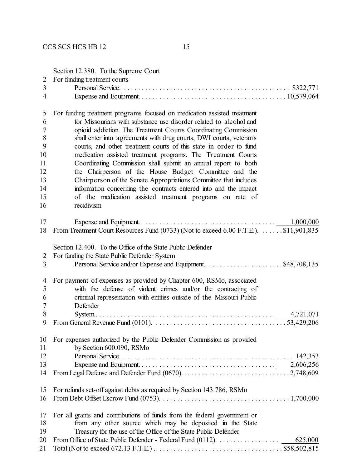|                                  | Section 12.380. To the Supreme Court                                                                                               |
|----------------------------------|------------------------------------------------------------------------------------------------------------------------------------|
| $\overline{2}$<br>$\overline{3}$ | For funding treatment courts                                                                                                       |
| $\overline{4}$                   |                                                                                                                                    |
|                                  |                                                                                                                                    |
| 5                                | For funding treatment programs focused on medication assisted treatment                                                            |
| 6                                | for Missourians with substance use disorder related to alcohol and                                                                 |
| 7                                | opioid addiction. The Treatment Courts Coordinating Commission                                                                     |
| 8                                | shall enter into agreements with drug courts, DWI courts, veteran's                                                                |
| 9                                | courts, and other treatment courts of this state in order to fund                                                                  |
| 10                               | medication assisted treatment programs. The Treatment Courts                                                                       |
| 11                               | Coordinating Commission shall submit an annual report to both                                                                      |
| 12                               | the Chairperson of the House Budget Committee and the                                                                              |
| 13                               | Chairperson of the Senate Appropriations Committee that includes                                                                   |
| 14                               | information concerning the contracts entered into and the impact                                                                   |
| 15                               | of the medication assisted treatment programs on rate of                                                                           |
| 16                               | recidivism                                                                                                                         |
| 17                               |                                                                                                                                    |
| 18                               | From Treatment Court Resources Fund (0733) (Not to exceed 6.00 F.T.E.). \$11,901,835                                               |
|                                  |                                                                                                                                    |
|                                  | Section 12.400. To the Office of the State Public Defender                                                                         |
| 2                                | For funding the State Public Defender System                                                                                       |
| $\overline{3}$                   |                                                                                                                                    |
| $\overline{4}$                   | For payment of expenses as provided by Chapter 600, RSMo, associated                                                               |
| 5                                | with the defense of violent crimes and/or the contracting of                                                                       |
| 6                                | criminal representation with entities outside of the Missouri Public                                                               |
| 7                                | Defender                                                                                                                           |
| 8                                |                                                                                                                                    |
| 9                                | From General Revenue Fund (0101). $\ldots \ldots \ldots \ldots \ldots \ldots \ldots \ldots \ldots \ldots \ldots \ldots$ 53,429,206 |
| 10                               | For expenses authorized by the Public Defender Commission as provided                                                              |
| 11                               | by Section 600.090, RSMo                                                                                                           |
| 12                               |                                                                                                                                    |
| 13                               |                                                                                                                                    |
| 14                               |                                                                                                                                    |
| 15                               | For refunds set-off against debts as required by Section 143.786, RSMo                                                             |
| 16                               |                                                                                                                                    |
|                                  |                                                                                                                                    |
| 17                               | For all grants and contributions of funds from the federal government or                                                           |
| 18                               | from any other source which may be deposited in the State                                                                          |
| 19                               | Treasury for the use of the Office of the State Public Defender                                                                    |
| 20                               | 625,000                                                                                                                            |
| 21                               |                                                                                                                                    |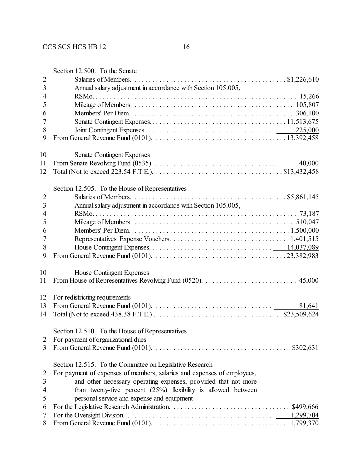|                | Section 12.500. To the Senate                                                                                                  |
|----------------|--------------------------------------------------------------------------------------------------------------------------------|
| $\mathbf{2}$   |                                                                                                                                |
| 3              | Annual salary adjustment in accordance with Section 105.005,                                                                   |
| 4              |                                                                                                                                |
| 5              |                                                                                                                                |
| 6              |                                                                                                                                |
| 7              |                                                                                                                                |
| 8              |                                                                                                                                |
| 9              |                                                                                                                                |
| 10             | <b>Senate Contingent Expenses</b>                                                                                              |
| 11             | 40,000                                                                                                                         |
| 12             |                                                                                                                                |
|                | Section 12.505. To the House of Representatives                                                                                |
| $\overline{2}$ |                                                                                                                                |
| $\mathfrak{Z}$ | Annual salary adjustment in accordance with Section 105.005,                                                                   |
| $\overline{4}$ |                                                                                                                                |
| 5              |                                                                                                                                |
| 6              |                                                                                                                                |
| 7              |                                                                                                                                |
| 8              |                                                                                                                                |
| 9              |                                                                                                                                |
| 10             | House Contingent Expenses                                                                                                      |
| 11             |                                                                                                                                |
| 12             | For redistricting requirements                                                                                                 |
| 13             | From General Revenue Fund (0101). $\ldots \ldots \ldots \ldots \ldots \ldots \ldots \ldots \ldots \ldots \ldots \qquad 81,641$ |
| 14             |                                                                                                                                |
|                | Section 12.510. To the House of Representatives                                                                                |
| 2              | For payment of organizational dues                                                                                             |
| 3              |                                                                                                                                |
|                | Section 12.515. To the Committee on Legislative Research                                                                       |
| 2              | For payment of expenses of members, salaries and expenses of employees,                                                        |
| 3              | and other necessary operating expenses, provided that not more                                                                 |
| $\overline{4}$ | than twenty-five percent $(25%)$ flexibility is allowed between                                                                |
| 5              | personal service and expense and equipment                                                                                     |
| 6              | \$499,666                                                                                                                      |
| 7              | 1,299,704                                                                                                                      |

From General Revenue Fund (0101). . . . . . . . . . . . . . . . . . . . . . . . . . . . . . . . . . . . . . . 1,799,370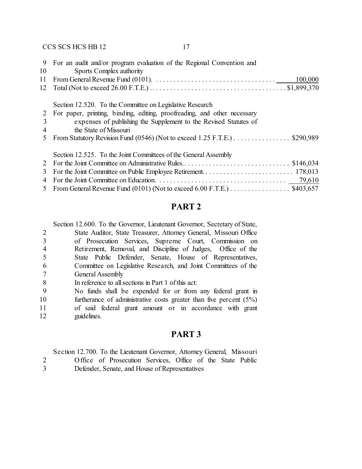| 9              | For an audit and/or program evaluation of the Regional Convention and                                                       |
|----------------|-----------------------------------------------------------------------------------------------------------------------------|
| 10             | Sports Complex authority                                                                                                    |
| 11             | From General Revenue Fund (0101). $\ldots \ldots \ldots \ldots \ldots \ldots \ldots \ldots \ldots \ldots \ldots$<br>100,000 |
| 12             |                                                                                                                             |
|                | Section 12.520. To the Committee on Legislative Research                                                                    |
| 2              | For paper, printing, binding, editing, proofreading, and other necessary                                                    |
| 3              | expenses of publishing the Supplement to the Revised Statutes of                                                            |
| 4              | the State of Missouri                                                                                                       |
| 5              | From Statutory Revision Fund (0546) (Not to exceed $1.25$ F.T.E.) $\dots \dots \dots \dots$ \$290,989                       |
|                | Section 12.525. To the Joint Committees of the General Assembly                                                             |
| $\mathbb{Z}^2$ |                                                                                                                             |
| 3              |                                                                                                                             |
| 4              |                                                                                                                             |
| 5.             | From General Revenue Fund (0101) (Not to exceed $6.00$ F.T.E.) \$403,657                                                    |

## **PART 2**

Section 12.600. To the Governor, Lieutenant Governor, Secretary of State,

- State Auditor, State Treasurer, Attorney General, Missouri Office of Prosecution Services, Supreme Court, Commission on Retirement, Removal, and Discipline of Judges, Office of the State Public Defender, Senate, House of Representatives, Committee on Legislative Research, and Joint Committees of the General Assembly
- In reference to all sections in Part 1 of this act:
- No funds shall be expended for or from any federal grant in
- furtherance of administrative costs greater than five percent (5%) of said federal grant amount or in accordance with grant guidelines.

### **PART 3**

Section 12.700. To the Lieutenant Governor, Attorney General, Missouri

- Office of Prosecution Services, Office of the State Public
- Defender, Senate, and House of Representatives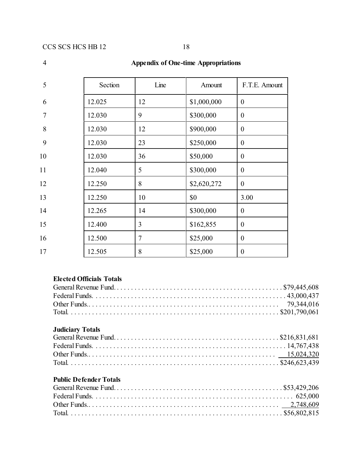| 5  | Section | Line | Amount      | F.T.E. Amount    |
|----|---------|------|-------------|------------------|
| 6  | 12.025  | 12   | \$1,000,000 | $\theta$         |
| 7  | 12.030  | 9    | \$300,000   | $\mathbf{0}$     |
| 8  | 12.030  | 12   | \$900,000   | $\mathbf{0}$     |
| 9  | 12.030  | 23   | \$250,000   | $\mathbf{0}$     |
| 10 | 12.030  | 36   | \$50,000    | $\mathbf{0}$     |
| 11 | 12.040  | 5    | \$300,000   | $\overline{0}$   |
| 12 | 12.250  | 8    | \$2,620,272 | $\mathbf{0}$     |
| 13 | 12.250  | 10   | \$0         | 3.00             |
| 14 | 12.265  | 14   | \$300,000   | $\mathbf{0}$     |
| 15 | 12.400  | 3    | \$162,855   | $\mathbf{0}$     |
| 16 | 12.500  | 7    | \$25,000    | $\boldsymbol{0}$ |
| 17 | 12.505  | 8    | \$25,000    | $\mathbf{0}$     |

## 4 **Appendix of One-time Appropriations**

## **Elected Officials Totals**

## **Judiciary Totals**

# **Public Defender Totals**